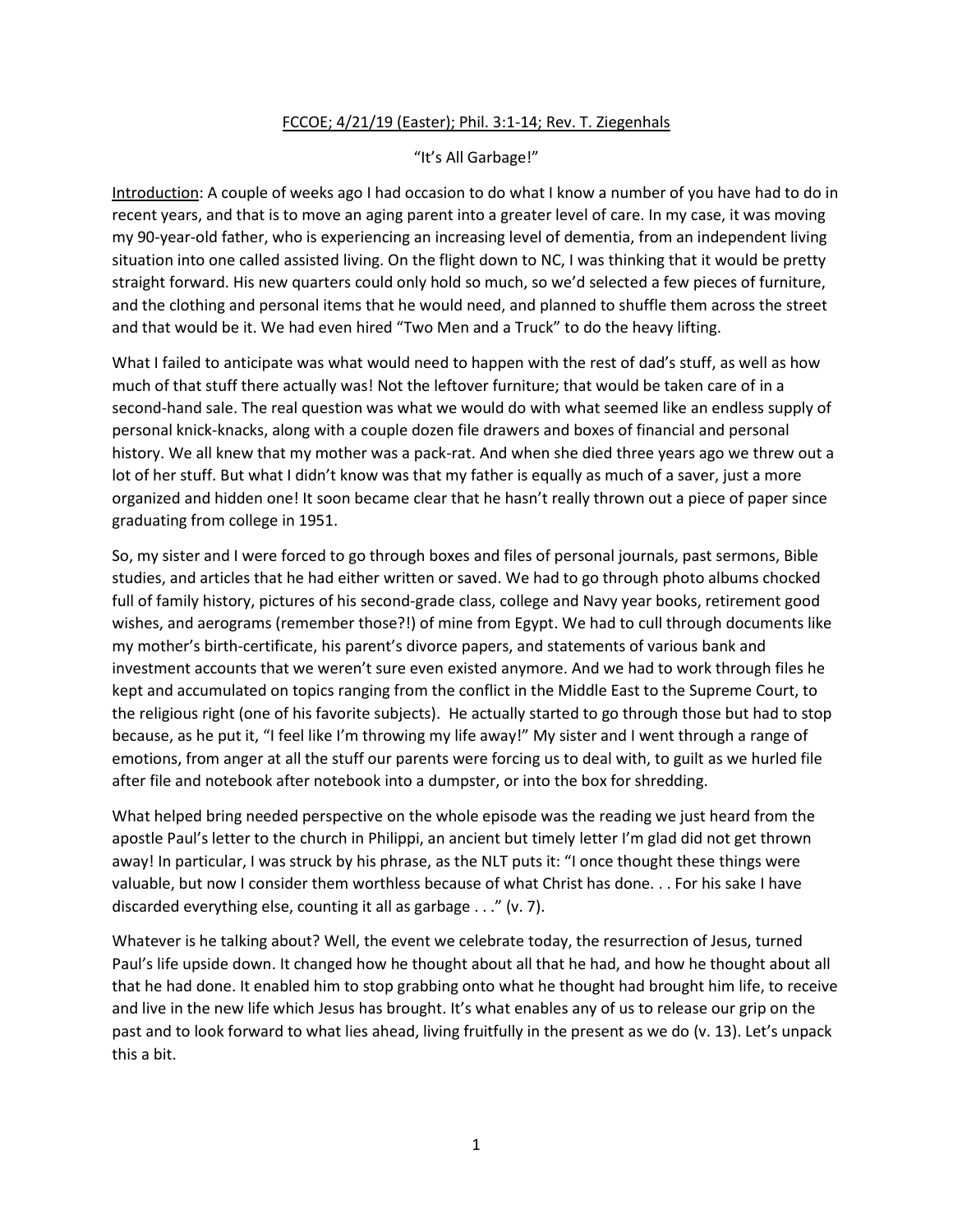## FCCOE; 4/21/19 (Easter); Phil. 3:1-14; Rev. T. Ziegenhals

## "It's All Garbage!"

Introduction: A couple of weeks ago I had occasion to do what I know a number of you have had to do in recent years, and that is to move an aging parent into a greater level of care. In my case, it was moving my 90-year-old father, who is experiencing an increasing level of dementia, from an independent living situation into one called assisted living. On the flight down to NC, I was thinking that it would be pretty straight forward. His new quarters could only hold so much, so we'd selected a few pieces of furniture, and the clothing and personal items that he would need, and planned to shuffle them across the street and that would be it. We had even hired "Two Men and a Truck" to do the heavy lifting.

What I failed to anticipate was what would need to happen with the rest of dad's stuff, as well as how much of that stuff there actually was! Not the leftover furniture; that would be taken care of in a second-hand sale. The real question was what we would do with what seemed like an endless supply of personal knick-knacks, along with a couple dozen file drawers and boxes of financial and personal history. We all knew that my mother was a pack-rat. And when she died three years ago we threw out a lot of her stuff. But what I didn't know was that my father is equally as much of a saver, just a more organized and hidden one! It soon became clear that he hasn't really thrown out a piece of paper since graduating from college in 1951.

So, my sister and I were forced to go through boxes and files of personal journals, past sermons, Bible studies, and articles that he had either written or saved. We had to go through photo albums chocked full of family history, pictures of his second-grade class, college and Navy year books, retirement good wishes, and aerograms (remember those?!) of mine from Egypt. We had to cull through documents like my mother's birth-certificate, his parent's divorce papers, and statements of various bank and investment accounts that we weren't sure even existed anymore. And we had to work through files he kept and accumulated on topics ranging from the conflict in the Middle East to the Supreme Court, to the religious right (one of his favorite subjects). He actually started to go through those but had to stop because, as he put it, "I feel like I'm throwing my life away!" My sister and I went through a range of emotions, from anger at all the stuff our parents were forcing us to deal with, to guilt as we hurled file after file and notebook after notebook into a dumpster, or into the box for shredding.

What helped bring needed perspective on the whole episode was the reading we just heard from the apostle Paul's letter to the church in Philippi, an ancient but timely letter I'm glad did not get thrown away! In particular, I was struck by his phrase, as the NLT puts it: "I once thought these things were valuable, but now I consider them worthless because of what Christ has done. . . For his sake I have discarded everything else, counting it all as garbage . . ." (v. 7).

Whatever is he talking about? Well, the event we celebrate today, the resurrection of Jesus, turned Paul's life upside down. It changed how he thought about all that he had, and how he thought about all that he had done. It enabled him to stop grabbing onto what he thought had brought him life, to receive and live in the new life which Jesus has brought. It's what enables any of us to release our grip on the past and to look forward to what lies ahead, living fruitfully in the present as we do (v. 13). Let's unpack this a bit.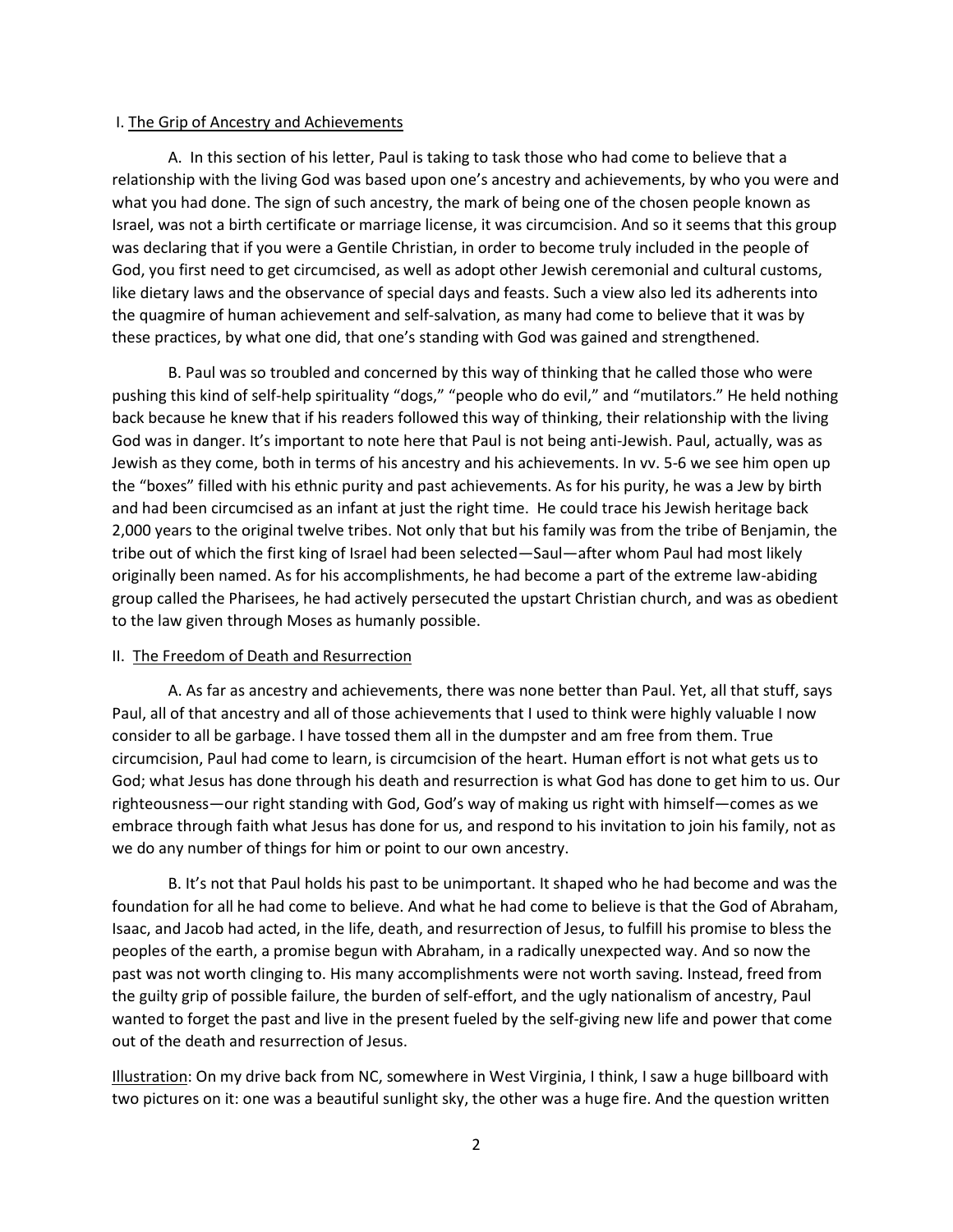## I. The Grip of Ancestry and Achievements

A. In this section of his letter, Paul is taking to task those who had come to believe that a relationship with the living God was based upon one's ancestry and achievements, by who you were and what you had done. The sign of such ancestry, the mark of being one of the chosen people known as Israel, was not a birth certificate or marriage license, it was circumcision. And so it seems that this group was declaring that if you were a Gentile Christian, in order to become truly included in the people of God, you first need to get circumcised, as well as adopt other Jewish ceremonial and cultural customs, like dietary laws and the observance of special days and feasts. Such a view also led its adherents into the quagmire of human achievement and self-salvation, as many had come to believe that it was by these practices, by what one did, that one's standing with God was gained and strengthened.

B. Paul was so troubled and concerned by this way of thinking that he called those who were pushing this kind of self-help spirituality "dogs," "people who do evil," and "mutilators." He held nothing back because he knew that if his readers followed this way of thinking, their relationship with the living God was in danger. It's important to note here that Paul is not being anti-Jewish. Paul, actually, was as Jewish as they come, both in terms of his ancestry and his achievements. In vv. 5-6 we see him open up the "boxes" filled with his ethnic purity and past achievements. As for his purity, he was a Jew by birth and had been circumcised as an infant at just the right time. He could trace his Jewish heritage back 2,000 years to the original twelve tribes. Not only that but his family was from the tribe of Benjamin, the tribe out of which the first king of Israel had been selected—Saul—after whom Paul had most likely originally been named. As for his accomplishments, he had become a part of the extreme law-abiding group called the Pharisees, he had actively persecuted the upstart Christian church, and was as obedient to the law given through Moses as humanly possible.

## II. The Freedom of Death and Resurrection

A. As far as ancestry and achievements, there was none better than Paul. Yet, all that stuff, says Paul, all of that ancestry and all of those achievements that I used to think were highly valuable I now consider to all be garbage. I have tossed them all in the dumpster and am free from them. True circumcision, Paul had come to learn, is circumcision of the heart. Human effort is not what gets us to God; what Jesus has done through his death and resurrection is what God has done to get him to us. Our righteousness—our right standing with God, God's way of making us right with himself—comes as we embrace through faith what Jesus has done for us, and respond to his invitation to join his family, not as we do any number of things for him or point to our own ancestry.

B. It's not that Paul holds his past to be unimportant. It shaped who he had become and was the foundation for all he had come to believe. And what he had come to believe is that the God of Abraham, Isaac, and Jacob had acted, in the life, death, and resurrection of Jesus, to fulfill his promise to bless the peoples of the earth, a promise begun with Abraham, in a radically unexpected way. And so now the past was not worth clinging to. His many accomplishments were not worth saving. Instead, freed from the guilty grip of possible failure, the burden of self-effort, and the ugly nationalism of ancestry, Paul wanted to forget the past and live in the present fueled by the self-giving new life and power that come out of the death and resurrection of Jesus.

Illustration: On my drive back from NC, somewhere in West Virginia, I think, I saw a huge billboard with two pictures on it: one was a beautiful sunlight sky, the other was a huge fire. And the question written